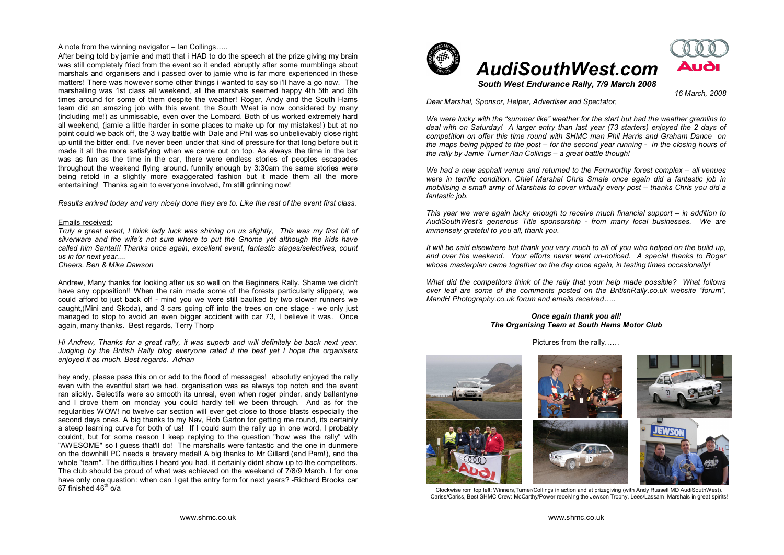A note from the winning navigator – Ian Collings…..

After being told by jamie and matt that i HAD to do the speech at the prize giving my brain was still completely fried from the event so it ended abruptly after some mumblings about marshals and organisers and i passed over to jamie who is far more experienced in these matters! There was however some other things i wanted to say so i'll have a go now. The marshalling was 1st class all weekend, all the marshals seemed happy 4th 5th and 6th times around for some of them despite the weather! Roger, Andy and the South Hams team did an amazing job with this event, the South West is now considered by many (including me!) as unmissable, even over the Lombard. Both of us worked extremely hard all weekend, (jamie a little harder in some places to make up for my mistakes!) but at no point could we back off, the 3 way battle with Dale and Phil was so unbelievably close right up until the bitter end. I've never been under that kind of pressure for that long before but it made it all the more satisfying when we came out on top. As always the time in the bar was as fun as the time in the car, there were endless stories of peoples escapades throughout the weekend flying around. funnily enough by 3:30am the same stories were being retold in a slightly more exaggerated fashion but it made them all the more entertaining! Thanks again to everyone involved, i'm still grinning now!

*Results arrived today and very nicely done they are to. Like the rest of the event first class.*

## Emails received:

*Truly a great event, I think lady luck was shining on us slightly, This was my first bit of silverware and the wife's not sure where to put the Gnome yet although the kids have called him Santa!!! Thanks once again, excellent event, fantastic stages/selectives, count us in for next year....*

*Cheers, Ben & Mike Dawson*

Andrew, Many thanks for looking after us so well on the Beginners Rally. Shame we didn't have any opposition!! When the rain made some of the forests particularly slippery, we could afford to just back off - mind you we were still baulked by two slower runners we caught, (Mini and Skoda), and 3 cars going off into the trees on one stage - we only just managed to stop to avoid an even bigger accident with car 73. I believe it was. Once again, many thanks. Best regards, Terry Thorp

*Hi Andrew, Thanks for a great rally, it was superb and will definitely be back next year. Judging by the British Rally blog everyone rated it the best yet I hope the organisers enjoyed it as much. Best regards. Adrian*

hey andy, please pass this on or add to the flood of messages! absolutly enjoyed the rally even with the eventful start we had, organisation was as always top notch and the event ran slickly. Selectifs were so smooth its unreal, even when roger pinder, andy ballantyne and I drove them on monday you could hardly tell we been through. And as for the regularities WOW! no twelve car section will ever get close to those blasts especially the second days ones. A big thanks to my Nav, Rob Garton for getting me round, its certainly a steep learning curve for both of us! If I could sum the rally up in one word, I probably couldnt, but for some reason I keep replying to the question "how was the rally" with "AWESOME" so I guess that'll do! The marshalls were fantastic and the one in dunmere on the downhill PC needs a bravery medal! A big thanks to Mr Gillard (and Pam!), and the whole "team". The difficulties I heard you had, it certainly didnt show up to the competitors. The club should be proud of what was achieved on the weekend of 7/8/9 March. I for one have only one question: when can I get the entry form for next years? - Richard Brooks car 67 finished 46<sup>th</sup> o/a



## *AudiSouthWest.com*

*South West Endurance Rally, 7/9 March 2008*

*16 March, 2008*

*Dear Marshal, Sponsor, Helper, Advertiser and Spectator,* 

*We were lucky with the "summer like" weather for the start but had the weather gremlins to deal with on Saturday! A larger entry than last year (73 starters) enjoyed the 2 days of competition on offer this time round with SHMC man Phil Harris and Graham Dance on the maps being pipped to the post – for the second year running in the closing hours of the rally by Jamie Turner /Ian Collings – a great battle though!* 

*We had a new asphalt venue and returned to the Fernworthy forest complex – all venues were in terrific condition. Chief Marshal Chris Smale once again did a fantastic job in mobilising a small army of Marshals to cover virtually every post – thanks Chris you did a fantastic job.* 

*This year we were again lucky enough to receive much financial support – in addition to AudiSouthWest's generous Title sponsorship from many local businesses. We are immensely grateful to you all, thank you.* 

It will be said elsewhere but thank you very much to all of you who helped on the build up. *and over the weekend. Your efforts never went unnoticed. A special thanks to Roger whose masterplan came together on the day once again, in testing times occasionally!* 

*What did the competitors think of the rally that your help made possible? What follows over leaf are some of the comments posted on the BritishRally.co.uk website "forum", MandH Photography.co.uk forum and emails received…..*

## *Once again thank you all! The Organising Team at South Hams Motor Club*

Pictures from the rally……



Clockwise rom top left: Winners,Turner/Collings in action and at prizegiving (with Andy Russell MD AudiSouthWest). Cariss/Cariss, Best SHMC Crew: McCarthy/Power receiving the Jewson Trophy, Lees/Lassam, Marshals in great spirits!